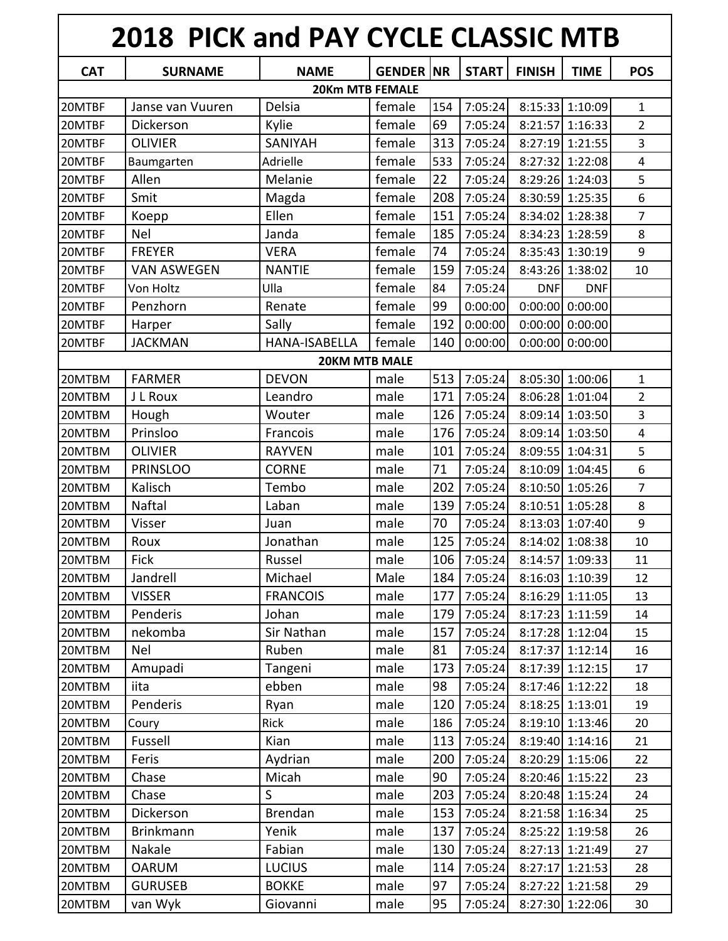|            | <b>2018 PICK and PAY CYCLE CLASSIC MTB</b> |                                       |                   |     |              |               |                                 |                         |
|------------|--------------------------------------------|---------------------------------------|-------------------|-----|--------------|---------------|---------------------------------|-------------------------|
| <b>CAT</b> | <b>SURNAME</b>                             | <b>NAME</b><br><b>20Km MTB FEMALE</b> | <b>GENDER INR</b> |     | <b>START</b> | <b>FINISH</b> | <b>TIME</b>                     | <b>POS</b>              |
| 20MTBF     | Janse van Vuuren                           | Delsia                                | female            | 154 | 7:05:24      |               | 8:15:33 1:10:09                 | 1                       |
| 20MTBF     | Dickerson                                  | Kylie                                 | female            | 69  | 7:05:24      | 8:21:57       | 1:16:33                         | $\overline{2}$          |
| 20MTBF     | <b>OLIVIER</b>                             | <b>SANIYAH</b>                        | female            | 313 | 7:05:24      | 8:27:19       | 1:21:55                         | 3                       |
| 20MTBF     | Baumgarten                                 | Adrielle                              | female            | 533 | 7:05:24      | 8:27:32       | 1:22:08                         | $\overline{4}$          |
| 20MTBF     | Allen                                      | Melanie                               | female            | 22  | 7:05:24      |               | 8:29:26 1:24:03                 | 5                       |
| 20MTBF     | Smit                                       | Magda                                 | female            | 208 | 7:05:24      | 8:30:59       | 1:25:35                         | 6                       |
| 20MTBF     | Koepp                                      | Ellen                                 | female            | 151 | 7:05:24      | 8:34:02       | 1:28:38                         | $\overline{7}$          |
| 20MTBF     | <b>Nel</b>                                 | Janda                                 | female            | 185 | 7:05:24      | 8:34:23       | 1:28:59                         | 8                       |
| 20MTBF     | <b>FREYER</b>                              | <b>VERA</b>                           | female            | 74  | 7:05:24      |               | 8:35:43 1:30:19                 | 9                       |
|            | <b>VAN ASWEGEN</b>                         | <b>NANTIE</b>                         | female            | 159 | 7:05:24      |               | 8:43:26 1:38:02                 | 10                      |
| 20MTBF     |                                            |                                       | female            |     |              |               |                                 |                         |
| 20MTBF     | Von Holtz                                  | Ulla                                  | female            | 84  | 7:05:24      | <b>DNF</b>    | <b>DNF</b><br>$0:00:00$ 0:00:00 |                         |
| 20MTBF     | Penzhorn                                   | Renate                                |                   | 99  | 0:00:00      |               |                                 |                         |
| 20MTBF     | Harper                                     | Sally                                 | female            | 192 | 0:00:00      | 0:00:00       | 0:00:00                         |                         |
| 20MTBF     | <b>JACKMAN</b>                             | HANA-ISABELLA<br><b>20KM MTB MALE</b> | female            | 140 | 0:00:00      | 0:00:00       | 0:00:00                         |                         |
| 20MTBM     | <b>FARMER</b>                              | <b>DEVON</b>                          | male              | 513 | 7:05:24      |               | 8:05:30 1:00:06                 | 1                       |
| 20MTBM     | J L Roux                                   | Leandro                               | male              | 171 | 7:05:24      | 8:06:28       | 1:01:04                         | $\overline{2}$          |
| 20MTBM     | Hough                                      | Wouter                                | male              | 126 | 7:05:24      | 8:09:14       | 1:03:50                         | 3                       |
| 20MTBM     | Prinsloo                                   | Francois                              | male              | 176 | 7:05:24      | 8:09:14       | 1:03:50                         | $\overline{\mathbf{4}}$ |
| 20MTBM     | <b>OLIVIER</b>                             | <b>RAYVEN</b>                         | male              | 101 | 7:05:24      |               | 8:09:55 1:04:31                 | 5                       |
| 20MTBM     | <b>PRINSLOO</b>                            | <b>CORNE</b>                          | male              | 71  | 7:05:24      |               | 8:10:09 1:04:45                 | 6                       |
| 20MTBM     | Kalisch                                    | Tembo                                 | male              | 202 | 7:05:24      |               | 8:10:50 1:05:26                 | 7                       |
| 20MTBM     | Naftal                                     | Laban                                 | male              | 139 | 7:05:24      |               | 8:10:51 1:05:28                 | 8                       |
| 20MTBM     | Visser                                     | Juan                                  | male              | 70  | 7:05:24      |               | 8:13:03 1:07:40                 | 9                       |
| 20MTBM     | Roux                                       | Jonathan                              | male              | 125 | 7:05:24      |               | 8:14:02 1:08:38                 | 10                      |
| 20MTBM     | <b>Fick</b>                                | Russel                                | male              | 106 | 7:05:24      |               | 8:14:57 1:09:33                 | 11                      |
| 20MTBM     | Jandrell                                   | Michael                               | Male              | 184 | 7:05:24      |               | 8:16:03 1:10:39                 | 12                      |
| 20MTBM     | <b>VISSER</b>                              | <b>FRANCOIS</b>                       | male              | 177 | 7:05:24      |               | 8:16:29 1:11:05                 | 13                      |
| 20MTBM     | Penderis                                   | Johan                                 | male              | 179 | 7:05:24      |               | 8:17:23 1:11:59                 | 14                      |
| 20MTBM     | nekomba                                    | Sir Nathan                            | male              | 157 | 7:05:24      |               | 8:17:28 1:12:04                 | 15                      |
| 20MTBM     | Nel                                        | Ruben                                 | male              | 81  | 7:05:24      |               | 8:17:37 1:12:14                 | 16                      |
| 20MTBM     | Amupadi                                    | Tangeni                               | male              | 173 | 7:05:24      |               | 8:17:39 1:12:15                 | 17                      |
| 20MTBM     | iita                                       | ebben                                 | male              | 98  | 7:05:24      |               | 8:17:46 1:12:22                 | 18                      |
| 20MTBM     | Penderis                                   | Ryan                                  | male              | 120 | 7:05:24      |               | $8:18:25$ 1:13:01               | 19                      |
| 20MTBM     | Coury                                      | <b>Rick</b>                           | male              | 186 | 7:05:24      |               | 8:19:10 1:13:46                 | 20                      |
| 20MTBM     | Fussell                                    | Kian                                  | male              | 113 | 7:05:24      |               | 8:19:40 1:14:16                 | 21                      |
| 20MTBM     | Feris                                      | Aydrian                               | male              | 200 | 7:05:24      |               | 8:20:29 1:15:06                 | 22                      |
| 20MTBM     | Chase                                      | Micah                                 | male              | 90  | 7:05:24      |               | 8:20:46 1:15:22                 | 23                      |
| 20MTBM     | Chase                                      | $\mathsf{S}$                          | male              | 203 | 7:05:24      |               | 8:20:48 1:15:24                 | 24                      |
| 20MTBM     | Dickerson                                  | <b>Brendan</b>                        | male              | 153 | 7:05:24      |               | 8:21:58 1:16:34                 | 25                      |
| 20MTBM     | <b>Brinkmann</b>                           | Yenik                                 | male              | 137 | 7:05:24      |               | 8:25:22 1:19:58                 | 26                      |
| 20MTBM     | Nakale                                     | Fabian                                | male              | 130 | 7:05:24      |               | 8:27:13 1:21:49                 | 27                      |
| 20MTBM     | <b>OARUM</b>                               | <b>LUCIUS</b>                         | male              | 114 | 7:05:24      | 8:27:17       | 1:21:53                         | 28                      |
| 20MTBM     | <b>GURUSEB</b>                             | <b>BOKKE</b>                          | male              | 97  | 7:05:24      |               | 8:27:22 1:21:58                 | 29                      |
| 20MTBM     | van Wyk                                    | Giovanni                              | male              | 95  | 7:05:24      |               | 8:27:30 1:22:06                 | 30                      |
|            |                                            |                                       |                   |     |              |               |                                 |                         |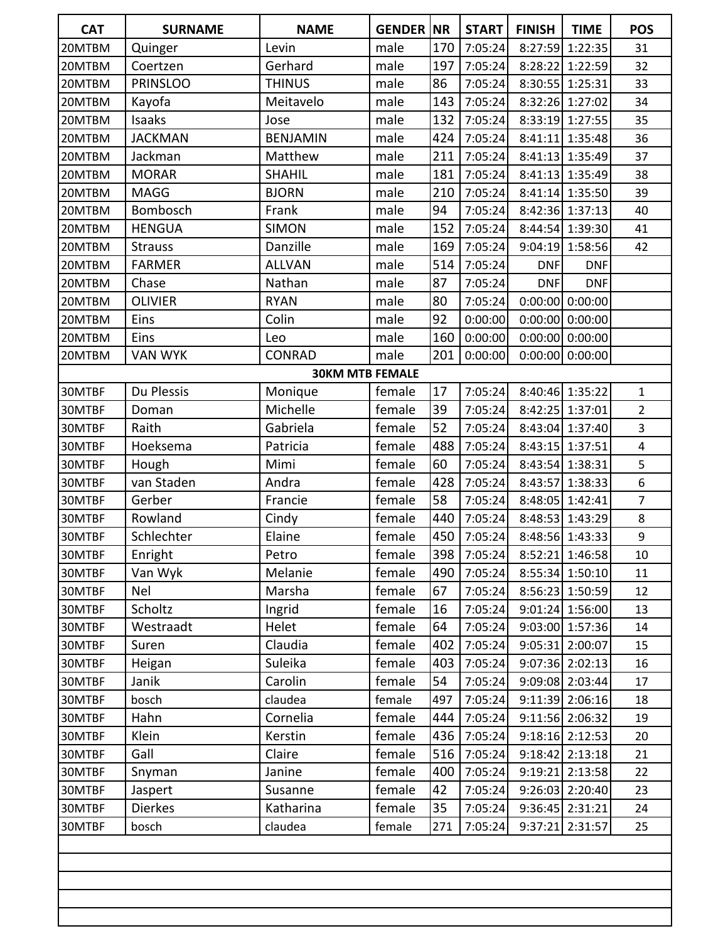| <b>CAT</b> | <b>SURNAME</b>  | <b>NAME</b>            | <b>GENDER NR</b> |     | <b>START</b> | <b>FINISH</b> | <b>TIME</b>       | <b>POS</b>       |
|------------|-----------------|------------------------|------------------|-----|--------------|---------------|-------------------|------------------|
| 20MTBM     | Quinger         | Levin                  | male             | 170 | 7:05:24      | 8:27:59       | 1:22:35           | 31               |
| 20MTBM     | Coertzen        | Gerhard                | male             | 197 | 7:05:24      |               | 8:28:22 1:22:59   | 32               |
| 20MTBM     | <b>PRINSLOO</b> | <b>THINUS</b>          | male             | 86  | 7:05:24      |               | 8:30:55 1:25:31   | 33               |
| 20MTBM     | Kayofa          | Meitavelo              | male             | 143 | 7:05:24      |               | 8:32:26 1:27:02   | 34               |
| 20MTBM     | Isaaks          | Jose                   | male             | 132 | 7:05:24      |               | 8:33:19 1:27:55   | 35               |
| 20MTBM     | <b>JACKMAN</b>  | <b>BENJAMIN</b>        | male             | 424 | 7:05:24      |               | 8:41:11 1:35:48   | 36               |
| 20MTBM     | Jackman         | Matthew                | male             | 211 | 7:05:24      |               | 8:41:13 1:35:49   | 37               |
| 20MTBM     | <b>MORAR</b>    | <b>SHAHIL</b>          | male             | 181 | 7:05:24      |               | 8:41:13 1:35:49   | 38               |
| 20MTBM     | <b>MAGG</b>     | <b>BJORN</b>           | male             | 210 | 7:05:24      |               | 8:41:14 1:35:50   | 39               |
| 20MTBM     | Bombosch        | Frank                  | male             | 94  | 7:05:24      |               | 8:42:36 1:37:13   | 40               |
| 20MTBM     | <b>HENGUA</b>   | <b>SIMON</b>           | male             | 152 | 7:05:24      |               | 8:44:54 1:39:30   | 41               |
| 20MTBM     | <b>Strauss</b>  | Danzille               | male             | 169 | 7:05:24      |               | 9:04:19 1:58:56   | 42               |
| 20MTBM     | <b>FARMER</b>   | <b>ALLVAN</b>          | male             | 514 | 7:05:24      | <b>DNF</b>    | <b>DNF</b>        |                  |
| 20MTBM     | Chase           | Nathan                 | male             | 87  | 7:05:24      | <b>DNF</b>    | <b>DNF</b>        |                  |
| 20MTBM     | <b>OLIVIER</b>  | <b>RYAN</b>            | male             | 80  | 7:05:24      |               | $0:00:00$ 0:00:00 |                  |
| 20MTBM     | Eins            | Colin                  | male             | 92  | 0:00:00      |               | $0:00:00$ 0:00:00 |                  |
| 20MTBM     | Eins            | Leo                    | male             | 160 | 0:00:00      |               | $0:00:00$ 0:00:00 |                  |
| 20MTBM     | <b>VAN WYK</b>  | <b>CONRAD</b>          | male             | 201 | 0:00:00      |               | $0:00:00$ 0:00:00 |                  |
|            |                 | <b>30KM MTB FEMALE</b> |                  |     |              |               |                   |                  |
| 30MTBF     | Du Plessis      | Monique                | female           | 17  | 7:05:24      |               | 8:40:46 1:35:22   | $\mathbf{1}$     |
| 30MTBF     | Doman           | Michelle               | female           | 39  | 7:05:24      |               | 8:42:25 1:37:01   | $\overline{2}$   |
| 30MTBF     | Raith           | Gabriela               | female           | 52  | 7:05:24      |               | 8:43:04 1:37:40   | 3                |
| 30MTBF     | Hoeksema        | Patricia               | female           | 488 | 7:05:24      |               | 8:43:15 1:37:51   | $\pmb{4}$        |
| 30MTBF     | Hough           | Mimi                   | female           | 60  | 7:05:24      |               | 8:43:54 1:38:31   | 5                |
| 30MTBF     | van Staden      | Andra                  | female           | 428 | 7:05:24      | 8:43:57       | 1:38:33           | $\boldsymbol{6}$ |
| 30MTBF     | Gerber          | Francie                | female           | 58  | 7:05:24      | 8:48:05       | 1:42:41           | $\overline{7}$   |
| 30MTBF     | Rowland         | Cindy                  | female           | 440 | 7:05:24      |               | 8:48:53 1:43:29   | 8                |
| 30MTBF     | Schlechter      | Elaine                 | female           | 450 | 7:05:24      |               | 8:48:56 1:43:33   | $\boldsymbol{9}$ |
| 30MTBF     | Enright         | Petro                  | female           | 398 | 7:05:24      |               | 8:52:21 1:46:58   | 10               |
| 30MTBF     | Van Wyk         | Melanie                | female           | 490 | 7:05:24      |               | 8:55:34 1:50:10   | 11               |
| 30MTBF     | Nel             | Marsha                 | female           | 67  | 7:05:24      |               | 8:56:23 1:50:59   | 12               |
| 30MTBF     | Scholtz         | Ingrid                 | female           | 16  | 7:05:24      |               | 9:01:24 1:56:00   | 13               |
| 30MTBF     | Westraadt       | Helet                  | female           | 64  | 7:05:24      |               | 9:03:00 1:57:36   | 14               |
| 30MTBF     | Suren           | Claudia                | female           | 402 | 7:05:24      |               | 9:05:31 2:00:07   | 15               |
| 30MTBF     | Heigan          | Suleika                | female           | 403 | 7:05:24      |               | 9:07:36 2:02:13   | 16               |
| 30MTBF     | Janik           | Carolin                | female           | 54  | 7:05:24      |               | 9:09:08 2:03:44   | 17               |
| 30MTBF     | bosch           | claudea                | female           | 497 | 7:05:24      |               | 9:11:39 2:06:16   | 18               |
| 30MTBF     | Hahn            | Cornelia               | female           | 444 | 7:05:24      |               | 9:11:56 2:06:32   | 19               |
| 30MTBF     | Klein           | Kerstin                | female           | 436 | 7:05:24      |               | 9:18:16 2:12:53   | 20               |
| 30MTBF     | Gall            | Claire                 | female           | 516 | 7:05:24      |               | $9:18:42$ 2:13:18 | 21               |
| 30MTBF     | Snyman          | Janine                 | female           | 400 | 7:05:24      |               | 9:19:21 2:13:58   | 22               |
| 30MTBF     | Jaspert         | Susanne                | female           | 42  | 7:05:24      |               | 9:26:03 2:20:40   | 23               |
| 30MTBF     | Dierkes         | Katharina              | female           | 35  | 7:05:24      |               | 9:36:45 2:31:21   | 24               |
| 30MTBF     | bosch           | claudea                | female           | 271 | 7:05:24      |               | 9:37:21 2:31:57   | 25               |
|            |                 |                        |                  |     |              |               |                   |                  |
|            |                 |                        |                  |     |              |               |                   |                  |
|            |                 |                        |                  |     |              |               |                   |                  |
|            |                 |                        |                  |     |              |               |                   |                  |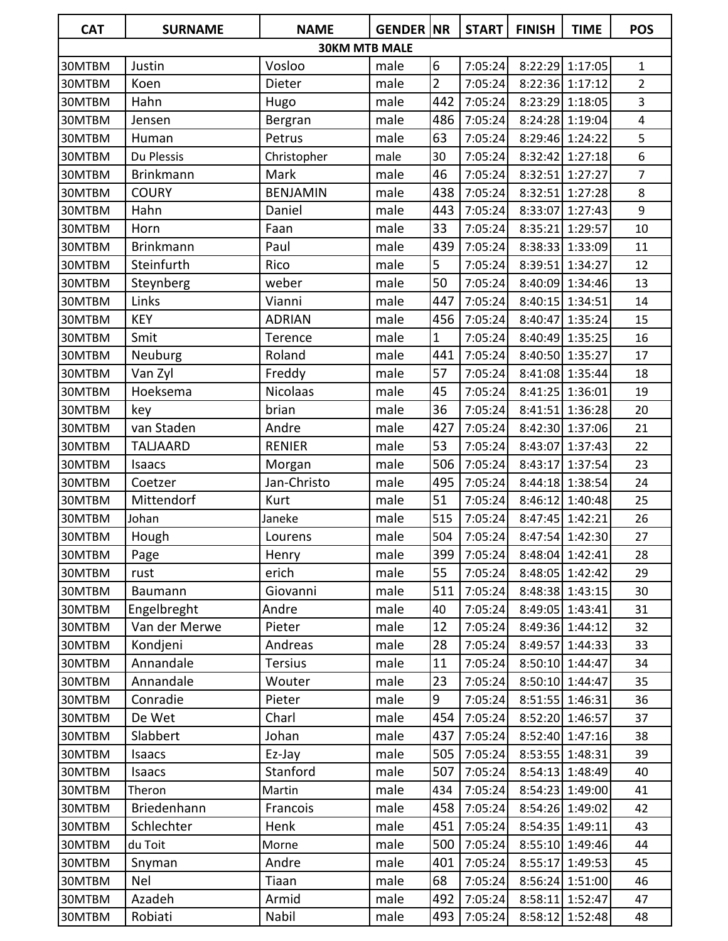| <b>CAT</b> | <b>SURNAME</b>   | <b>NAME</b>          | <b>GENDER INR</b> |                | <b>START</b> | <b>FINISH</b> | <b>TIME</b>     | <b>POS</b>     |
|------------|------------------|----------------------|-------------------|----------------|--------------|---------------|-----------------|----------------|
|            |                  | <b>30KM MTB MALE</b> |                   |                |              |               |                 |                |
| 30MTBM     | Justin           | Vosloo               | male              | 6              | 7:05:24      | 8:22:29       | 1:17:05         | 1              |
| 30MTBM     | Koen             | Dieter               | male              | $\overline{2}$ | 7:05:24      | 8:22:36       | 1:17:12         | $\overline{2}$ |
| 30MTBM     | Hahn             | Hugo                 | male              | 442            | 7:05:24      | 8:23:29       | 1:18:05         | 3              |
| 30MTBM     | Jensen           | Bergran              | male              | 486            | 7:05:24      | 8:24:28       | 1:19:04         | $\overline{4}$ |
| 30MTBM     | Human            | Petrus               | male              | 63             | 7:05:24      | 8:29:46       | 1:24:22         | 5              |
| 30MTBM     | Du Plessis       | Christopher          | male              | 30             | 7:05:24      | 8:32:42       | 1:27:18         | 6              |
| 30MTBM     | <b>Brinkmann</b> | Mark                 | male              | 46             | 7:05:24      | 8:32:51       | 1:27:27         | $\overline{7}$ |
| 30MTBM     | <b>COURY</b>     | <b>BENJAMIN</b>      | male              | 438            | 7:05:24      | 8:32:51       | 1:27:28         | 8              |
| 30MTBM     | Hahn             | Daniel               | male              | 443            | 7:05:24      | 8:33:07       | 1:27:43         | 9              |
| 30MTBM     | Horn             | Faan                 | male              | 33             | 7:05:24      | 8:35:21       | 1:29:57         | 10             |
| 30MTBM     | <b>Brinkmann</b> | Paul                 | male              | 439            | 7:05:24      | 8:38:33       | 1:33:09         | 11             |
| 30MTBM     | Steinfurth       | Rico                 | male              | 5              | 7:05:24      |               | 8:39:51 1:34:27 | 12             |
| 30MTBM     | Steynberg        | weber                | male              | 50             | 7:05:24      |               | 8:40:09 1:34:46 | 13             |
| 30MTBM     | Links            | Vianni               | male              | 447            | 7:05:24      |               | 8:40:15 1:34:51 | 14             |
| 30MTBM     | <b>KEY</b>       | <b>ADRIAN</b>        | male              | 456            | 7:05:24      | 8:40:47       | 1:35:24         | 15             |
| 30MTBM     | Smit             | Terence              | male              | $\mathbf{1}$   | 7:05:24      | 8:40:49       | 1:35:25         | 16             |
| 30MTBM     | Neuburg          | Roland               | male              | 441            | 7:05:24      | 8:40:50       | 1:35:27         | 17             |
| 30MTBM     | Van Zyl          | Freddy               | male              | 57             | 7:05:24      | 8:41:08       | 1:35:44         | 18             |
| 30MTBM     | Hoeksema         | <b>Nicolaas</b>      | male              | 45             | 7:05:24      |               | 8:41:25 1:36:01 | 19             |
| 30MTBM     | key              | brian                | male              | 36             | 7:05:24      | 8:41:51       | 1:36:28         | 20             |
| 30MTBM     | van Staden       | Andre                | male              | 427            | 7:05:24      |               | 8:42:30 1:37:06 | 21             |
| 30MTBM     | <b>TALJAARD</b>  | <b>RENIER</b>        | male              | 53             | 7:05:24      | 8:43:07       | 1:37:43         | 22             |
| 30MTBM     | Isaacs           | Morgan               | male              | 506            | 7:05:24      | 8:43:17       | 1:37:54         | 23             |
| 30MTBM     | Coetzer          | Jan-Christo          | male              | 495            | 7:05:24      |               | 8:44:18 1:38:54 | 24             |
| 30MTBM     | Mittendorf       | Kurt                 | male              | 51             | 7:05:24      |               | 8:46:12 1:40:48 | 25             |
| 30MTBM     | Johan            | Janeke               | male              | 515            | 7:05:24      | 8:47:45       | 1:42:21         | 26             |
| 30MTBM     | Hough            | Lourens              | male              | 504            | 7:05:24      |               | 8:47:54 1:42:30 | 27             |
| 30MTBM     | Page             | Henry                | male              | 399            | 7:05:24      |               | 8:48:04 1:42:41 | 28             |
| 30MTBM     | rust             | erich                | male              | 55             | 7:05:24      |               | 8:48:05 1:42:42 | 29             |
| 30MTBM     | Baumann          | Giovanni             | male              | 511            | 7:05:24      |               | 8:48:38 1:43:15 | 30             |
| 30MTBM     | Engelbreght      | Andre                | male              | 40             | 7:05:24      |               | 8:49:05 1:43:41 | 31             |
| 30MTBM     | Van der Merwe    | Pieter               | male              | 12             | 7:05:24      |               | 8:49:36 1:44:12 | 32             |
| 30MTBM     | Kondjeni         | Andreas              | male              | 28             | 7:05:24      | 8:49:57       | 1:44:33         | 33             |
| 30MTBM     | Annandale        | <b>Tersius</b>       | male              | 11             | 7:05:24      |               | 8:50:10 1:44:47 | 34             |
| 30MTBM     | Annandale        | Wouter               | male              | 23             | 7:05:24      |               | 8:50:10 1:44:47 | 35             |
| 30MTBM     | Conradie         | Pieter               | male              | 9              | 7:05:24      |               | 8:51:55 1:46:31 | 36             |
| 30MTBM     | De Wet           | Charl                | male              | 454            | 7:05:24      |               | 8:52:20 1:46:57 | 37             |
| 30MTBM     | Slabbert         | Johan                | male              | 437            | 7:05:24      |               | 8:52:40 1:47:16 | 38             |
| 30MTBM     | Isaacs           | Ez-Jay               | male              | 505            | 7:05:24      | 8:53:55       | 1:48:31         | 39             |
| 30MTBM     | Isaacs           | Stanford             | male              | 507            | 7:05:24      |               | 8:54:13 1:48:49 | 40             |
| 30MTBM     | Theron           | Martin               | male              | 434            | 7:05:24      | 8:54:23       | 1:49:00         | 41             |
| 30MTBM     | Briedenhann      | Francois             | male              | 458            | 7:05:24      | 8:54:26       | 1:49:02         | 42             |
| 30MTBM     | Schlechter       | Henk                 | male              | 451            | 7:05:24      |               | 8:54:35 1:49:11 | 43             |
| 30MTBM     | du Toit          | Morne                | male              | 500            | 7:05:24      | 8:55:10       | 1:49:46         | 44             |
| 30MTBM     | Snyman           | Andre                | male              | 401            | 7:05:24      | 8:55:17       | 1:49:53         | 45             |
| 30MTBM     | Nel              | Tiaan                | male              | 68             | 7:05:24      |               | 8:56:24 1:51:00 | 46             |
| 30MTBM     | Azadeh           | Armid                | male              | 492            | 7:05:24      |               | 8:58:11 1:52:47 | 47             |
| 30MTBM     | Robiati          | Nabil                | male              | 493            | 7:05:24      |               | 8:58:12 1:52:48 | 48             |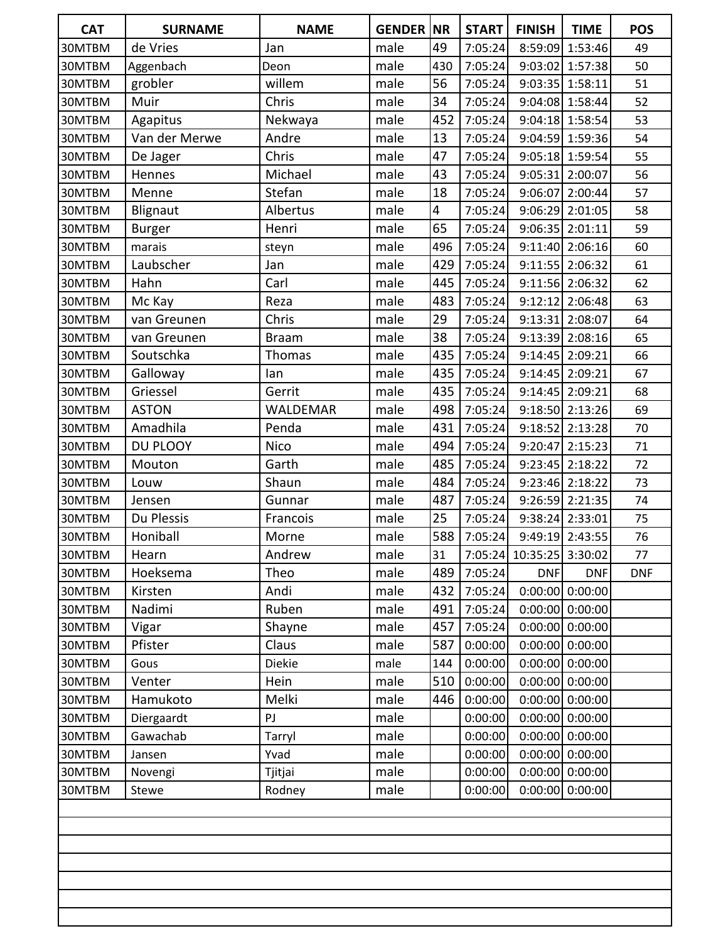| <b>CAT</b> | <b>SURNAME</b> | <b>NAME</b>     | <b>GENDER NR</b> |     | <b>START</b> | <b>FINISH</b>            | <b>TIME</b>       | <b>POS</b> |
|------------|----------------|-----------------|------------------|-----|--------------|--------------------------|-------------------|------------|
| 30MTBM     | de Vries       | Jan             | male             | 49  | 7:05:24      |                          | 8:59:09 1:53:46   | 49         |
| 30MTBM     | Aggenbach      | Deon            | male             | 430 | 7:05:24      |                          | 9:03:02 1:57:38   | 50         |
| 30MTBM     | grobler        | willem          | male             | 56  | 7:05:24      |                          | 9:03:35 1:58:11   | 51         |
| 30MTBM     | Muir           | Chris           | male             | 34  | 7:05:24      |                          | 9:04:08 1:58:44   | 52         |
| 30MTBM     | Agapitus       | Nekwaya         | male             | 452 | 7:05:24      |                          | 9:04:18 1:58:54   | 53         |
| 30MTBM     | Van der Merwe  | Andre           | male             | 13  | 7:05:24      |                          | 9:04:59 1:59:36   | 54         |
| 30MTBM     | De Jager       | Chris           | male             | 47  | 7:05:24      |                          | 9:05:18 1:59:54   | 55         |
| 30MTBM     | Hennes         | Michael         | male             | 43  | 7:05:24      | 9:05:31 2:00:07          |                   | 56         |
| 30MTBM     | Menne          | Stefan          | male             | 18  | 7:05:24      |                          | 9:06:07 2:00:44   | 57         |
| 30MTBM     | Blignaut       | Albertus        | male             | 4   | 7:05:24      | 9:06:29 2:01:05          |                   | 58         |
| 30MTBM     | <b>Burger</b>  | Henri           | male             | 65  | 7:05:24      |                          | 9:06:35 2:01:11   | 59         |
| 30MTBM     | marais         | steyn           | male             | 496 | 7:05:24      |                          | 9:11:40 2:06:16   | 60         |
| 30MTBM     | Laubscher      | Jan             | male             | 429 | 7:05:24      |                          | 9:11:55 2:06:32   | 61         |
| 30MTBM     | Hahn           | Carl            | male             | 445 | 7:05:24      |                          | 9:11:56 2:06:32   | 62         |
| 30MTBM     | Mc Kay         | Reza            | male             | 483 | 7:05:24      |                          | 9:12:12 2:06:48   | 63         |
| 30MTBM     | van Greunen    | Chris           | male             | 29  | 7:05:24      |                          | 9:13:31 2:08:07   | 64         |
| 30MTBM     | van Greunen    | <b>Braam</b>    | male             | 38  | 7:05:24      |                          | 9:13:39 2:08:16   | 65         |
| 30MTBM     | Soutschka      | <b>Thomas</b>   | male             | 435 | 7:05:24      |                          | 9:14:45 2:09:21   | 66         |
| 30MTBM     | Galloway       | lan             | male             | 435 | 7:05:24      |                          | 9:14:45 2:09:21   | 67         |
| 30MTBM     | Griessel       | Gerrit          | male             | 435 | 7:05:24      |                          | 9:14:45 2:09:21   | 68         |
| 30MTBM     | <b>ASTON</b>   | <b>WALDEMAR</b> | male             | 498 | 7:05:24      |                          | 9:18:50 2:13:26   | 69         |
| 30MTBM     | Amadhila       | Penda           | male             | 431 | 7:05:24      |                          | 9:18:52 2:13:28   | 70         |
| 30MTBM     | DU PLOOY       | <b>Nico</b>     | male             | 494 | 7:05:24      |                          | 9:20:47 2:15:23   | 71         |
| 30MTBM     | Mouton         | Garth           | male             | 485 | 7:05:24      |                          | 9:23:45 2:18:22   | 72         |
| 30MTBM     | Louw           | Shaun           | male             | 484 | 7:05:24      |                          | 9:23:46 2:18:22   | 73         |
| 30MTBM     | Jensen         | Gunnar          | male             | 487 | 7:05:24      |                          | 9:26:59 2:21:35   | 74         |
| 30MTBM     | Du Plessis     | Francois        | male             | 25  | 7:05:24      |                          | 9:38:24 2:33:01   | 75         |
| 30MTBM     | Honiball       | Morne           | male             | 588 | 7:05:24      |                          | 9:49:19 2:43:55   | 76         |
| 30MTBM     | Hearn          | Andrew          | male             | 31  |              | 7:05:24 10:35:25 3:30:02 |                   | 77         |
| 30MTBM     | Hoeksema       | Theo            | male             | 489 | 7:05:24      | <b>DNF</b>               | <b>DNF</b>        | <b>DNF</b> |
| 30MTBM     | Kirsten        | Andi            | male             | 432 | 7:05:24      |                          | $0:00:00$ 0:00:00 |            |
| 30MTBM     | Nadimi         | Ruben           | male             | 491 | 7:05:24      |                          | $0:00:00$ 0:00:00 |            |
| 30MTBM     | Vigar          | Shayne          | male             | 457 | 7:05:24      |                          | $0:00:00$ 0:00:00 |            |
| 30MTBM     | Pfister        | Claus           | male             | 587 | 0:00:00      |                          | $0:00:00$ 0:00:00 |            |
| 30MTBM     | Gous           | Diekie          | male             | 144 | 0:00:00      |                          | $0:00:00$ 0:00:00 |            |
| 30MTBM     | Venter         | Hein            | male             | 510 | 0:00:00      |                          | $0:00:00$ 0:00:00 |            |
| 30MTBM     | Hamukoto       | Melki           | male             | 446 | 0:00:00      |                          | $0:00:00$ 0:00:00 |            |
| 30MTBM     | Diergaardt     | PJ              | male             |     | 0:00:00      |                          | $0:00:00$ 0:00:00 |            |
| 30MTBM     | Gawachab       | Tarryl          | male             |     | 0:00:00      |                          | $0:00:00$ 0:00:00 |            |
| 30MTBM     | Jansen         | Yvad            | male             |     | 0:00:00      |                          | $0:00:00$ 0:00:00 |            |
| 30MTBM     | Novengi        | Tjitjai         | male             |     | 0:00:00      |                          | $0:00:00$ 0:00:00 |            |
| 30MTBM     | Stewe          | Rodney          | male             |     | 0:00:00      |                          | $0:00:00$ 0:00:00 |            |
|            |                |                 |                  |     |              |                          |                   |            |
|            |                |                 |                  |     |              |                          |                   |            |
|            |                |                 |                  |     |              |                          |                   |            |
|            |                |                 |                  |     |              |                          |                   |            |
|            |                |                 |                  |     |              |                          |                   |            |
|            |                |                 |                  |     |              |                          |                   |            |
|            |                |                 |                  |     |              |                          |                   |            |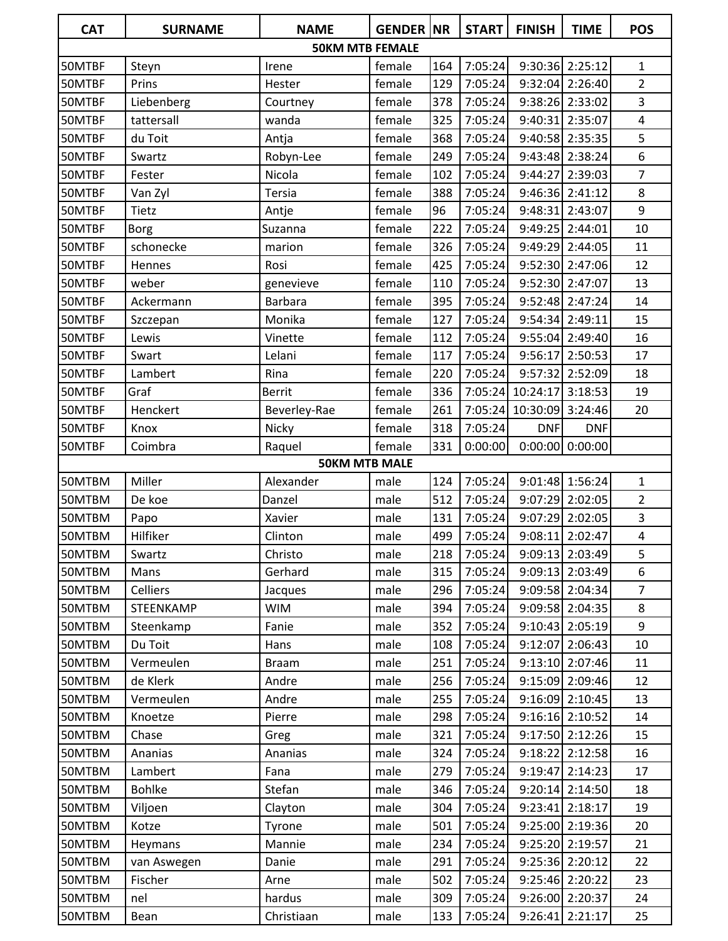| <b>CAT</b> | <b>SURNAME</b> | <b>NAME</b>            | <b>GENDER NR</b> |     | <b>START</b> | <b>FINISH</b>            | <b>TIME</b>       | <b>POS</b>              |
|------------|----------------|------------------------|------------------|-----|--------------|--------------------------|-------------------|-------------------------|
|            |                | <b>50KM MTB FEMALE</b> |                  |     |              |                          |                   |                         |
| 50MTBF     | Steyn          | Irene                  | female           | 164 | 7:05:24      |                          | 9:30:36 2:25:12   | 1                       |
| 50MTBF     | Prins          | Hester                 | female           | 129 | 7:05:24      |                          | 9:32:04 2:26:40   | $\overline{2}$          |
| 50MTBF     | Liebenberg     | Courtney               | female           | 378 | 7:05:24      |                          | 9:38:26 2:33:02   | 3                       |
| 50MTBF     | tattersall     | wanda                  | female           | 325 | 7:05:24      |                          | 9:40:31 2:35:07   | $\overline{\mathbf{4}}$ |
| 50MTBF     | du Toit        | Antja                  | female           | 368 | 7:05:24      |                          | 9:40:58 2:35:35   | 5                       |
| 50MTBF     | Swartz         | Robyn-Lee              | female           | 249 | 7:05:24      |                          | 9:43:48 2:38:24   | 6                       |
| 50MTBF     | Fester         | Nicola                 | female           | 102 | 7:05:24      |                          | 9:44:27 2:39:03   | $\overline{7}$          |
| 50MTBF     | Van Zyl        | Tersia                 | female           | 388 | 7:05:24      |                          | 9:46:36 2:41:12   | 8                       |
| 50MTBF     | Tietz          | Antje                  | female           | 96  | 7:05:24      |                          | 9:48:31 2:43:07   | 9                       |
| 50MTBF     | Borg           | Suzanna                | female           | 222 | 7:05:24      |                          | 9:49:25 2:44:01   | 10                      |
| 50MTBF     | schonecke      | marion                 | female           | 326 | 7:05:24      |                          | 9:49:29 2:44:05   | 11                      |
| 50MTBF     | Hennes         | Rosi                   | female           | 425 | 7:05:24      |                          | 9:52:30 2:47:06   | 12                      |
| 50MTBF     | weber          | genevieve              | female           | 110 | 7:05:24      |                          | 9:52:30 2:47:07   | 13                      |
| 50MTBF     | Ackermann      | <b>Barbara</b>         | female           | 395 | 7:05:24      |                          | 9:52:48 2:47:24   | 14                      |
| 50MTBF     | Szczepan       | Monika                 | female           | 127 | 7:05:24      |                          | 9:54:34 2:49:11   | 15                      |
| 50MTBF     | Lewis          | Vinette                | female           | 112 | 7:05:24      | 9:55:04                  | 2:49:40           | 16                      |
| 50MTBF     | Swart          | Lelani                 | female           | 117 | 7:05:24      | 9:56:17                  | 2:50:53           | 17                      |
| 50MTBF     | Lambert        | Rina                   | female           | 220 | 7:05:24      |                          | 9:57:32 2:52:09   | 18                      |
| 50MTBF     | Graf           | <b>Berrit</b>          | female           | 336 |              | 7:05:24 10:24:17 3:18:53 |                   | 19                      |
| 50MTBF     | Henckert       | Beverley-Rae           | female           | 261 | 7:05:24      | 10:30:09                 | 3:24:46           | 20                      |
| 50MTBF     | Knox           | Nicky                  | female           | 318 | 7:05:24      | <b>DNF</b>               | <b>DNF</b>        |                         |
| 50MTBF     | Coimbra        | Raquel                 | female           | 331 | 0:00:00      |                          | $0:00:00$ 0:00:00 |                         |
|            |                | <b>50KM MTB MALE</b>   |                  |     |              |                          |                   |                         |
| 50MTBM     | Miller         | Alexander              | male             | 124 | 7:05:24      |                          | 9:01:48 1:56:24   | 1                       |
| 50MTBM     | De koe         | Danzel                 | male             | 512 | 7:05:24      | 9:07:29                  | 2:02:05           | $\overline{2}$          |
| 50MTBM     | Papo           | Xavier                 | male             | 131 | 7:05:24      | 9:07:29                  | 2:02:05           | 3                       |
| 50MTBM     | Hilfiker       | Clinton                | male             | 499 | 7:05:24      | 9:08:11                  | 2:02:47           | $\overline{\mathbf{4}}$ |
| 50MTBM     | Swartz         | Christo                | male             | 218 | 7:05:24      |                          | $9:09:13$ 2:03:49 | 5                       |
| 50MTBM     | Mans           | Gerhard                | male             | 315 | 7:05:24      |                          | 9:09:13 2:03:49   | 6                       |
| 50MTBM     | Celliers       | Jacques                | male             | 296 | 7:05:24      |                          | 9:09:58 2:04:34   | $\overline{7}$          |
| 50MTBM     | STEENKAMP      | <b>WIM</b>             | male             | 394 | 7:05:24      |                          | 9:09:58 2:04:35   | 8                       |
| 50MTBM     | Steenkamp      | Fanie                  | male             | 352 | 7:05:24      |                          | 9:10:43 2:05:19   | 9                       |
| 50MTBM     | Du Toit        | Hans                   | male             | 108 | 7:05:24      |                          | 9:12:07 2:06:43   | 10                      |
| 50MTBM     | Vermeulen      | <b>Braam</b>           | male             | 251 | 7:05:24      |                          | 9:13:10 2:07:46   | 11                      |
| 50MTBM     | de Klerk       | Andre                  | male             | 256 | 7:05:24      |                          | 9:15:09 2:09:46   | 12                      |
| 50MTBM     | Vermeulen      | Andre                  | male             | 255 | 7:05:24      |                          | 9:16:09 2:10:45   | 13                      |
| 50MTBM     | Knoetze        | Pierre                 | male             | 298 | 7:05:24      |                          | $9:16:16$ 2:10:52 | 14                      |
| 50MTBM     | Chase          | Greg                   | male             | 321 | 7:05:24      |                          | 9:17:50 2:12:26   | 15                      |
| 50MTBM     | Ananias        | Ananias                | male             | 324 | 7:05:24      | 9:18:22                  | 2:12:58           | 16                      |
| 50MTBM     | Lambert        | Fana                   | male             | 279 | 7:05:24      |                          | 9:19:47 2:14:23   | 17                      |
| 50MTBM     | <b>Bohlke</b>  | Stefan                 | male             | 346 | 7:05:24      |                          | 9:20:14 2:14:50   | 18                      |
| 50MTBM     | Viljoen        | Clayton                | male             | 304 | 7:05:24      |                          | 9:23:41 2:18:17   | 19                      |
| 50MTBM     | Kotze          | Tyrone                 | male             | 501 | 7:05:24      |                          | 9:25:00 2:19:36   | 20                      |
| 50MTBM     | Heymans        | Mannie                 | male             | 234 | 7:05:24      |                          | 9:25:20 2:19:57   | 21                      |
| 50MTBM     | van Aswegen    | Danie                  | male             | 291 | 7:05:24      |                          | 9:25:36 2:20:12   | 22                      |
| 50MTBM     | Fischer        | Arne                   | male             | 502 | 7:05:24      |                          | 9:25:46 2:20:22   | 23                      |
| 50MTBM     | nel            | hardus                 | male             | 309 | 7:05:24      |                          | 9:26:00 2:20:37   | 24                      |
| 50MTBM     | Bean           | Christiaan             | male             | 133 | 7:05:24      |                          | 9:26:41 2:21:17   | 25                      |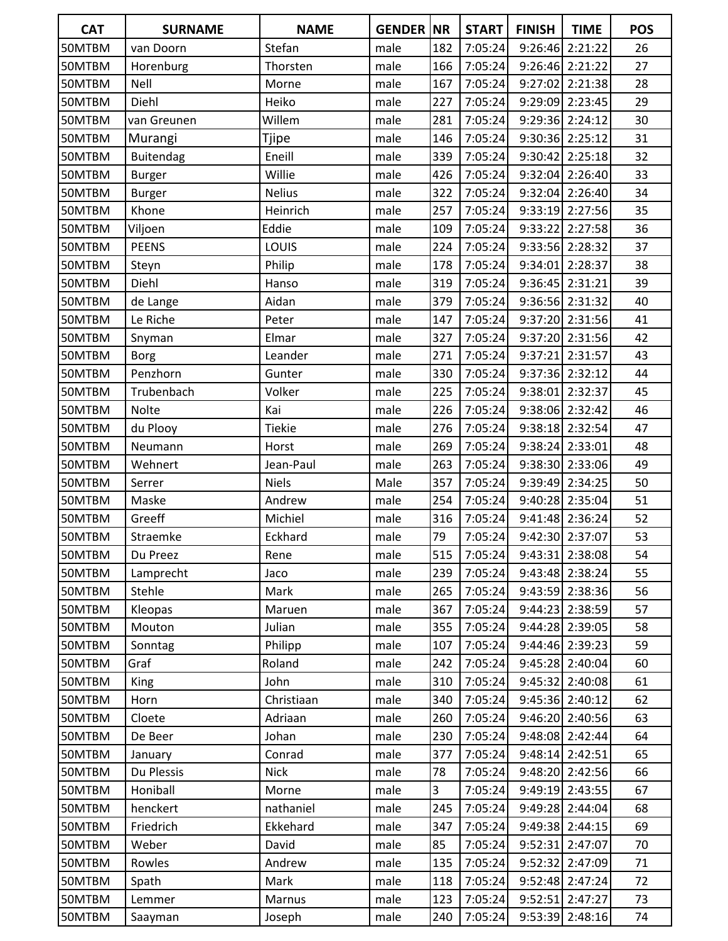| <b>CAT</b> | <b>SURNAME</b>   | <b>NAME</b>   | <b>GENDER NR</b> |     | <b>START</b> | <b>FINISH</b> | <b>TIME</b>       | <b>POS</b> |
|------------|------------------|---------------|------------------|-----|--------------|---------------|-------------------|------------|
| 50MTBM     | van Doorn        | Stefan        | male             | 182 | 7:05:24      | 9:26:46       | 2:21:22           | 26         |
| 50MTBM     | Horenburg        | Thorsten      | male             | 166 | 7:05:24      |               | 9:26:46 2:21:22   | 27         |
| 50MTBM     | Nell             | Morne         | male             | 167 | 7:05:24      | 9:27:02       | 2:21:38           | 28         |
| 50MTBM     | Diehl            | Heiko         | male             | 227 | 7:05:24      |               | 9:29:09 2:23:45   | 29         |
| 50MTBM     | van Greunen      | Willem        | male             | 281 | 7:05:24      |               | 9:29:36 2:24:12   | 30         |
| 50MTBM     | Murangi          | Tjipe         | male             | 146 | 7:05:24      |               | 9:30:36 2:25:12   | 31         |
| 50MTBM     | <b>Buitendag</b> | Eneill        | male             | 339 | 7:05:24      |               | $9:30:42$ 2:25:18 | 32         |
| 50MTBM     | Burger           | Willie        | male             | 426 | 7:05:24      |               | 9:32:04 2:26:40   | 33         |
| 50MTBM     | <b>Burger</b>    | <b>Nelius</b> | male             | 322 | 7:05:24      |               | 9:32:04 2:26:40   | 34         |
| 50MTBM     | Khone            | Heinrich      | male             | 257 | 7:05:24      |               | 9:33:19 2:27:56   | 35         |
| 50MTBM     | Viljoen          | Eddie         | male             | 109 | 7:05:24      | 9:33:22       | 2:27:58           | 36         |
| 50MTBM     | <b>PEENS</b>     | LOUIS         | male             | 224 | 7:05:24      | 9:33:56       | 2:28:32           | 37         |
| 50MTBM     | Steyn            | Philip        | male             | 178 | 7:05:24      | 9:34:01       | 2:28:37           | 38         |
| 50MTBM     | Diehl            | Hanso         | male             | 319 | 7:05:24      |               | 9:36:45 2:31:21   | 39         |
| 50MTBM     | de Lange         | Aidan         | male             | 379 | 7:05:24      |               | 9:36:56 2:31:32   | 40         |
| 50MTBM     | Le Riche         | Peter         | male             | 147 | 7:05:24      | 9:37:20       | 2:31:56           | 41         |
| 50MTBM     | Snyman           | Elmar         | male             | 327 | 7:05:24      |               | 9:37:20 2:31:56   | 42         |
| 50MTBM     | <b>Borg</b>      | Leander       | male             | 271 | 7:05:24      | 9:37:21       | 2:31:57           | 43         |
| 50MTBM     | Penzhorn         | Gunter        | male             | 330 | 7:05:24      |               | 9:37:36 2:32:12   | 44         |
| 50MTBM     | Trubenbach       | Volker        | male             | 225 | 7:05:24      | 9:38:01       | 2:32:37           | 45         |
| 50MTBM     | Nolte            | Kai           | male             | 226 | 7:05:24      |               | 9:38:06 2:32:42   | 46         |
| 50MTBM     | du Plooy         | <b>Tiekie</b> | male             | 276 | 7:05:24      |               | 9:38:18 2:32:54   | 47         |
| 50MTBM     | Neumann          | Horst         | male             | 269 | 7:05:24      | 9:38:24       | 2:33:01           | 48         |
| 50MTBM     | Wehnert          | Jean-Paul     | male             | 263 | 7:05:24      |               | 9:38:30 2:33:06   | 49         |
| 50MTBM     | Serrer           | <b>Niels</b>  | Male             | 357 | 7:05:24      |               | 9:39:49 2:34:25   | 50         |
| 50MTBM     | Maske            | Andrew        | male             | 254 | 7:05:24      |               | 9:40:28 2:35:04   | 51         |
| 50MTBM     | Greeff           | Michiel       | male             | 316 | 7:05:24      |               | 9:41:48 2:36:24   | 52         |
| 50MTBM     | Straemke         | Eckhard       | male             | 79  | 7:05:24      |               | 9:42:30 2:37:07   | 53         |
| 50MTBM     | Du Preez         | Rene          | male             | 515 | 7:05:24      |               | 9:43:31 2:38:08   | 54         |
| 50MTBM     | Lamprecht        | Jaco          | male             | 239 | 7:05:24      |               | 9:43:48 2:38:24   | 55         |
| 50MTBM     | Stehle           | Mark          | male             | 265 | 7:05:24      |               | 9:43:59 2:38:36   | 56         |
| 50MTBM     | Kleopas          | Maruen        | male             | 367 | 7:05:24      |               | 9:44:23 2:38:59   | 57         |
| 50MTBM     | Mouton           | Julian        | male             | 355 | 7:05:24      |               | 9:44:28 2:39:05   | 58         |
| 50MTBM     | Sonntag          | Philipp       | male             | 107 | 7:05:24      |               | 9:44:46 2:39:23   | 59         |
| 50MTBM     | Graf             | Roland        | male             | 242 | 7:05:24      | 9:45:28       | 2:40:04           | 60         |
| 50MTBM     | King             | John          | male             | 310 | 7:05:24      | 9:45:32       | 2:40:08           | 61         |
| 50MTBM     | Horn             | Christiaan    | male             | 340 | 7:05:24      |               | 9:45:36 2:40:12   | 62         |
| 50MTBM     | Cloete           | Adriaan       | male             | 260 | 7:05:24      | 9:46:20       | 2:40:56           | 63         |
| 50MTBM     | De Beer          | Johan         | male             | 230 | 7:05:24      | 9:48:08       | 2:42:44           | 64         |
| 50MTBM     | January          | Conrad        | male             | 377 | 7:05:24      |               | 9:48:14 2:42:51   | 65         |
| 50MTBM     | Du Plessis       | <b>Nick</b>   | male             | 78  | 7:05:24      |               | 9:48:20 2:42:56   | 66         |
| 50MTBM     | Honiball         | Morne         | male             | 3   | 7:05:24      | 9:49:19       | 2:43:55           | 67         |
| 50MTBM     | henckert         | nathaniel     | male             | 245 | 7:05:24      | 9:49:28       | 2:44:04           | 68         |
| 50MTBM     | Friedrich        | Ekkehard      | male             | 347 | 7:05:24      |               | 9:49:38 2:44:15   | 69         |
| 50MTBM     | Weber            | David         | male             | 85  | 7:05:24      |               | 9:52:31 2:47:07   | 70         |
| 50MTBM     | Rowles           | Andrew        | male             | 135 | 7:05:24      | 9:52:32       | 2:47:09           | 71         |
| 50MTBM     | Spath            | Mark          | male             | 118 | 7:05:24      |               | 9:52:48 2:47:24   | 72         |
| 50MTBM     | Lemmer           | Marnus        | male             | 123 | 7:05:24      | 9:52:51       | 2:47:27           | 73         |
| 50MTBM     | Saayman          | Joseph        | male             | 240 | 7:05:24      | 9:53:39       | 2:48:16           | 74         |